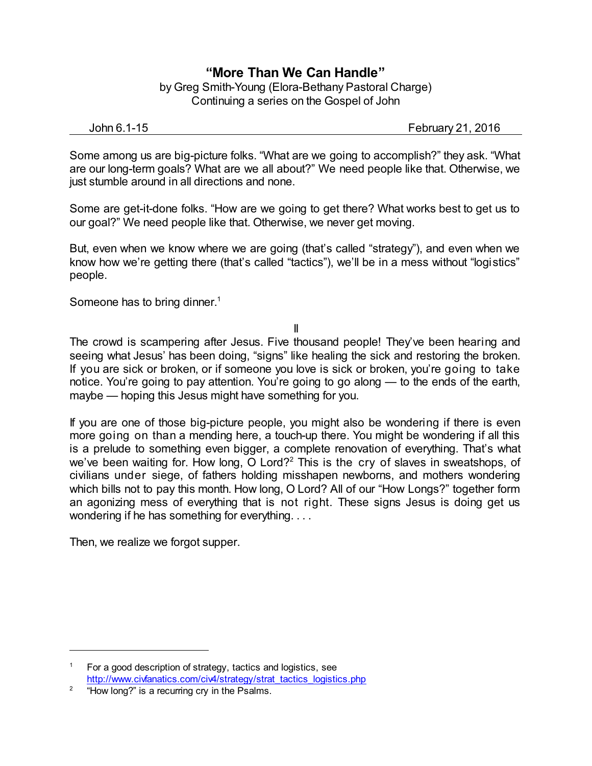## **"More Than We Can Handle"**

by Greg Smith-Young (Elora-Bethany Pastoral Charge) Continuing a series on the Gospel of John

John 6.1-15 February 21, 2016

Some among us are big-picture folks. "What are we going to accomplish?" they ask. "What are our long-term goals? What are we all about?" We need people like that. Otherwise, we just stumble around in all directions and none.

Some are get-it-done folks. "How are we going to get there? What works best to get us to our goal?" We need people like that. Otherwise, we never get moving.

But, even when we know where we are going (that's called "strategy"), and even when we know how we're getting there (that's called "tactics"), we'll be in a mess without "logistics" people.

Someone has to bring dinner.<sup>1</sup>

II

The crowd is scampering after Jesus. Five thousand people! They've been hearing and seeing what Jesus' has been doing, "signs" like healing the sick and restoring the broken. If you are sick or broken, or if someone you love is sick or broken, you're going to take notice. You're going to pay attention. You're going to go along — to the ends of the earth, maybe — hoping this Jesus might have something for you.

If you are one of those big-picture people, you might also be wondering if there is even more going on than a mending here, a touch-up there. You might be wondering if all this is a prelude to something even bigger, a complete renovation of everything. That's what we've been waiting for. How long, O Lord?<sup>2</sup> This is the cry of slaves in sweatshops, of civilians under siege, of fathers holding misshapen newborns, and mothers wondering which bills not to pay this month. How long, O Lord? All of our "How Longs?" together form an agonizing mess of everything that is not right. These signs Jesus is doing get us wondering if he has something for everything. . . .

Then, we realize we forgot supper.

<sup>&</sup>lt;sup>1</sup> For a good description of strategy, tactics and logistics, see [http://www.civfanatics.com/civ4/strategy/strat\\_tactics\\_logistics.php](http://www.civfanatics.com/civ4/strategy/strat_tactics_logistics.php)

<sup>2</sup> "How long?" is a recurring cry in the Psalms.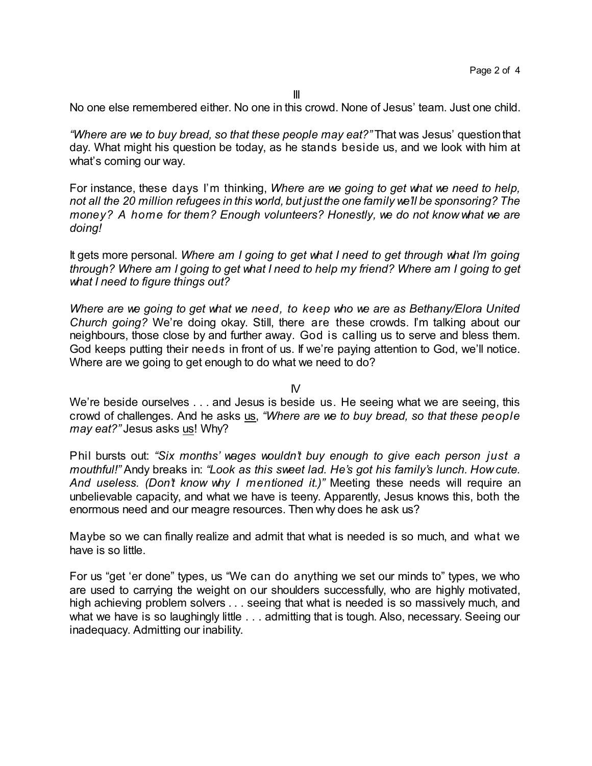No one else remembered either. No one in this crowd. None of Jesus' team. Just one child.

*"Where are we to buy bread, so that these people may eat?"* That was Jesus' questionthat day. What might his question be today, as he stands beside us, and we look with him at what's coming our way.

For instance, these days I'm thinking, *Where are we going to get what we need to help, not all the 20 million refugees in this world, but just the one family we'll be sponsoring? The money? A home for them? Enough volunteers? Honestly, we do not know what we are doing!*

It gets more personal. *Where am I going to get what I need to get through what I'm going through? Where am I going to get what I need to help my friend? Where am I going to get what I need to figure things out?*

*Where are we going to get what we need, to keep who we are as Bethany/Elora United Church going?* We're doing okay. Still, there are these crowds. I'm talking about our neighbours, those close by and further away. God is calling us to serve and bless them. God keeps putting their needs in front of us. If we're paying attention to God, we'll notice. Where are we going to get enough to do what we need to do?

 $N$ 

We're beside ourselves . . . and Jesus is beside us. He seeing what we are seeing, this crowd of challenges. And he asks us, *"Where are we to buy bread, so that these people may eat?"* Jesus asks us! Why?

Phil bursts out: *"Six months' wages wouldn't buy enough to give each person just a mouthful!"* Andy breaks in: *"Look as this sweet lad. He's got his family's lunch. How cute. And useless. (Don't know why I mentioned it.)"* Meeting these needs will require an unbelievable capacity, and what we have is teeny. Apparently, Jesus knows this, both the enormous need and our meagre resources. Then why does he ask us?

Maybe so we can finally realize and admit that what is needed is so much, and what we have is so little.

For us "get 'er done" types, us "We can do anything we set our minds to" types, we who are used to carrying the weight on our shoulders successfully, who are highly motivated, high achieving problem solvers . . . seeing that what is needed is so massively much, and what we have is so laughingly little . . . admitting that is tough. Also, necessary. Seeing our inadequacy. Admitting our inability.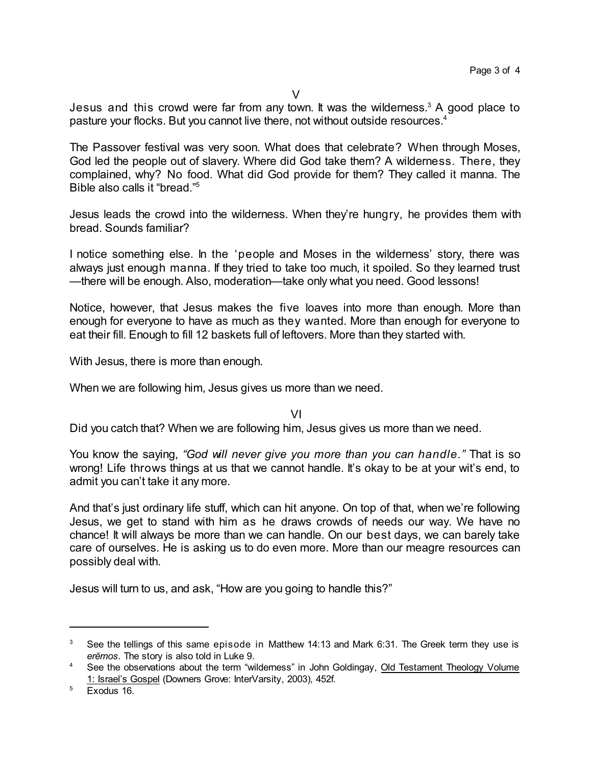Jesus and this crowd were far from any town. It was the wilderness.<sup>3</sup> A good place to pasture your flocks. But you cannot live there, not without outside resources.<sup>4</sup>

The Passover festival was very soon. What does that celebrate? When through Moses, God led the people out of slavery. Where did God take them? A wilderness. There, they complained, why? No food. What did God provide for them? They called it manna. The Bible also calls it "bread." 5

Jesus leads the crowd into the wilderness. When they're hungry, he provides them with bread. Sounds familiar?

I notice something else. In the 'people and Moses in the wilderness' story, there was always just enough manna. If they tried to take too much, it spoiled. So they learned trust —there will be enough. Also, moderation—take only what you need. Good lessons!

Notice, however, that Jesus makes the five loaves into more than enough. More than enough for everyone to have as much as they wanted. More than enough for everyone to eat their fill. Enough to fill 12 baskets full of leftovers. More than they started with.

With Jesus, there is more than enough.

When we are following him, Jesus gives us more than we need.

VI

Did you catch that? When we are following him, Jesus gives us more than we need.

You know the saying, *"God will never give you more than you can handle."* That is so wrong! Life throws things at us that we cannot handle. It's okay to be at your wit's end, to admit you can't take it any more.

And that's just ordinary life stuff, which can hit anyone. On top of that, when we're following Jesus, we get to stand with him as he draws crowds of needs our way. We have no chance! It will always be more than we can handle. On our best days, we can barely take care of ourselves. He is asking us to do even more. More than our meagre resources can possibly deal with.

Jesus will turn to us, and ask, "How are you going to handle this?"

 $3\degree$  See the tellings of this same episode in Matthew 14:13 and Mark 6:31. The Greek term they use is *erçmos*. The story is also told in Luke 9.

<sup>&</sup>lt;sup>4</sup> See the observations about the term "wilderness" in John Goldingay, Old Testament Theology Volume 1: Israel's Gospel (Downers Grove: InterVarsity, 2003), 452f.

<sup>&</sup>lt;sup>5</sup> Exodus 16.